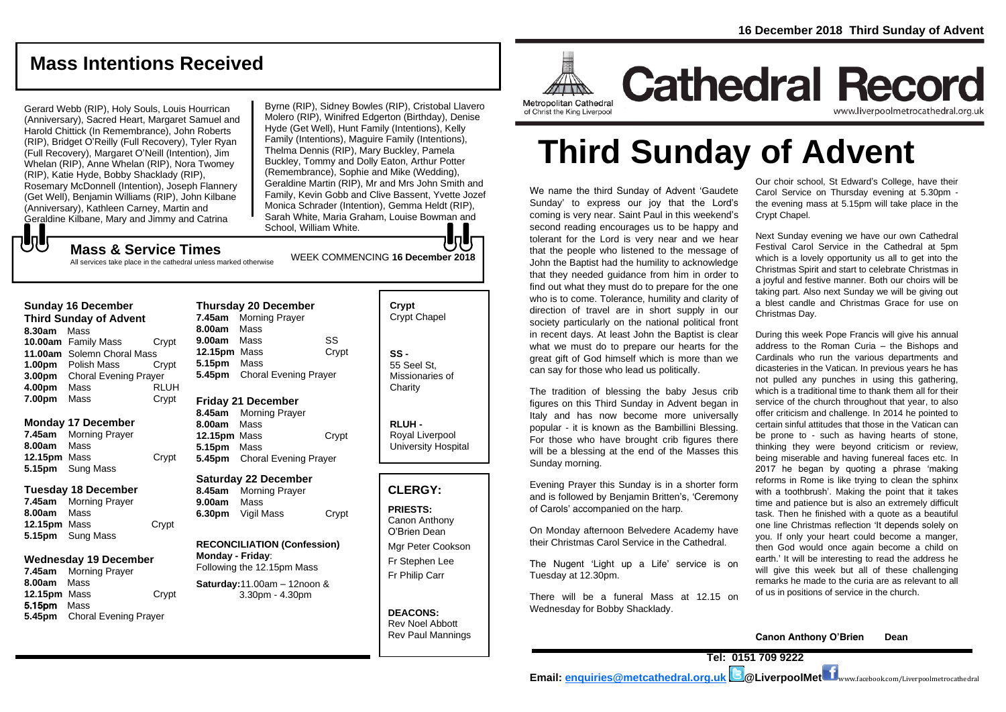## **Mass Intentions Received**

Gerard Webb (RIP), Holy Souls, Louis Hourrican (Anniversary), Sacred Heart, Margaret Samuel and Harold Chittick (In Remembrance), John Roberts (RIP), Bridget O'Reilly (Full Recovery), Tyler Ryan (Full Recovery), Margaret O'Neill (Intention), Jim Whelan (RIP), Anne Whelan (RIP), Nora Twomey (RIP), Katie Hyde, Bobby Shacklady (RIP), Rosemary McDonnell (Intention), Joseph Flannery (Get Well), Benjamin Williams (RIP), John Kilbane (Anniversary), Kathleen Carney, Martin and Geraldine Kilbane, Mary and Jimmy and Catrina

Byrne (RIP), Sidney Bowles (RIP), Cristobal Llavero Molero (RIP), Winifred Edgerton (Birthday), Denise Hyde (Get Well), Hunt Family (Intentions), Kelly Family (Intentions), Maguire Family (Intentions), Thelma Dennis (RIP), Mary Buckley, Pamela Buckley, Tommy and Dolly Eaton, Arthur Potter (Remembrance), Sophie and Mike (Wedding), Geraldine Martin (RIP), Mr and Mrs John Smith and Family, Kevin Gobb and Clive Bassent, Yvette Jozef Monica Schrader (Intention), Gemma Heldt (RIP), Sarah White, Maria Graham, Louise Bowman and School, William White.

# もし

WEEK COMMENCING **<sup>16</sup> December <sup>2018</sup> Mass & Service Times** All services take place in the cathedral unless marked otherwise

#### **Sunday 16 December**

**Third Sunday of Advent 8.30am** Mass **10.00am** Family Mass Crypt **11.00am** Solemn Choral Mass **1.00pm** Polish Mass Crypt **3.00pm** Choral Evening Prayer **4.00pm** Mass RLUH **7.00pm** Mass Crypt

#### **Monday 17 December**

**7.45am** Morning Prayer **8.00am** Mass **12.15pm** Mass Crypt **5.15pm** Sung Mass

#### **Tuesday 18 December**

**7.45am** Morning Prayer **8.00am** Mass **12.15pm** Mass Crypt **5.15pm** Sung Mass

#### **Wednesday 19 December**

**7.45am** Morning Prayer **8.00am** Mass **12.15pm** Mass Crypt 5.15pm Mass **5.45pm** Choral Evening Prayer

**Thursday 20 December 7.45am** Morning Prayer **8.00am** Mass **9.00am** Mass SS **12.15pm** Mass Crypt **5.15pm** Mass **5.45pm** Choral Evening Prayer

#### **Friday 21 December**

**8.45am** Morning Prayer **8.00am** Mass **12.15pm** Mass Crypt **5.15pm** Mass **5.45pm** Choral Evening Prayer

#### **Saturday 22 December**

**8.45am** Morning Prayer **9.00am** Mass **6.30pm** Vigil Mass Crypt

#### **RECONCILIATION (Confession) Monday - Friday**: Following the 12.15pm Mass

**Saturday:**11.00am – 12noon & 3.30pm - 4.30pm

**Crypt**  Crypt Chapel **SS -** 55 Seel St, Missionaries of **Charity** 

**RLUH -** Royal Liverpool University Hospital

#### **CLERGY:**

**PRIESTS:** Canon Anthony O'Brien *Dean*

Mgr Peter Cookson Fr Stephen Lee Fr Philip Carr

**DEACONS:** Rev Noel Abbott Rev Paul Mannings



**Cathedral Record** www.liverpoolmetrocathedral.org.ul

**Third Sunday of Advent**

We name the third Sunday of Advent 'Gaudete Sunday' to express our joy that the Lord's coming is very near. Saint Paul in this weekend's second reading encourages us to be happy and tolerant for the Lord is very near and we hear that the people who listened to the message of John the Baptist had the humility to acknowledge that they needed guidance from him in order to find out what they must do to prepare for the one who is to come. Tolerance, humility and clarity of direction of travel are in short supply in our society particularly on the national political front in recent days. At least John the Baptist is clear what we must do to prepare our hearts for the great gift of God himself which is more than we can say for those who lead us politically.

The tradition of blessing the baby Jesus crib figures on this Third Sunday in Advent began in Italy and has now become more universally popular - it is known as the Bambillini Blessing. For those who have brought crib figures there will be a blessing at the end of the Masses this Sunday morning.

Evening Prayer this Sunday is in a shorter form and is followed by Benjamin Britten's, 'Ceremony of Carols' accompanied on the harp.

On Monday afternoon Belvedere Academy have their Christmas Carol Service in the Cathedral.

The Nugent 'Light up a Life' service is on Tuesday at 12.30pm.

There will be a funeral Mass at 12.15 on Wednesday for Bobby Shacklady.

Our choir school, St Edward's College, have their Carol Service on Thursday evening at 5.30pm the evening mass at 5.15pm will take place in the Crypt Chapel.

Next Sunday evening we have our own Cathedral Festival Carol Service in the Cathedral at 5pm which is a lovely opportunity us all to get into the Christmas Spirit and start to celebrate Christmas in a joyful and festive manner. Both our choirs will be taking part. Also next Sunday we will be giving out a blest candle and Christmas Grace for use on Christmas Day.

During this week Pope Francis will give his annual address to the Roman Curia – the Bishops and Cardinals who run the various departments and dicasteries in the Vatican. In previous years he has not pulled any punches in using this gathering, which is a traditional time to thank them all for their service of the church throughout that year, to also offer criticism and challenge. In 2014 he pointed to certain sinful attitudes that those in the Vatican can be prone to - such as having hearts of stone, thinking they were beyond criticism or review, being miserable and having funereal faces etc. In 2017 he began by quoting a phrase 'making reforms in Rome is like trying to clean the sphinx with a toothbrush'. Making the point that it takes time and patience but is also an extremely difficult task. Then he finished with a quote as a beautiful one line Christmas reflection 'It depends solely on you. If only your heart could become a manger, then God would once again become a child on earth.' It will be interesting to read the address he will give this week but all of these challenging remarks he made to the curia are as relevant to all of us in positions of service in the church.

**Canon Anthony O'Brien Dean**

**Tel: 0151 709 9222 Email: [enquiries@metcathedral.org.uk](mailto:enquiries@metcathedral.org.uk) @LiverpoolMet** www.facebook.com/Liverpoolmetrocathedral